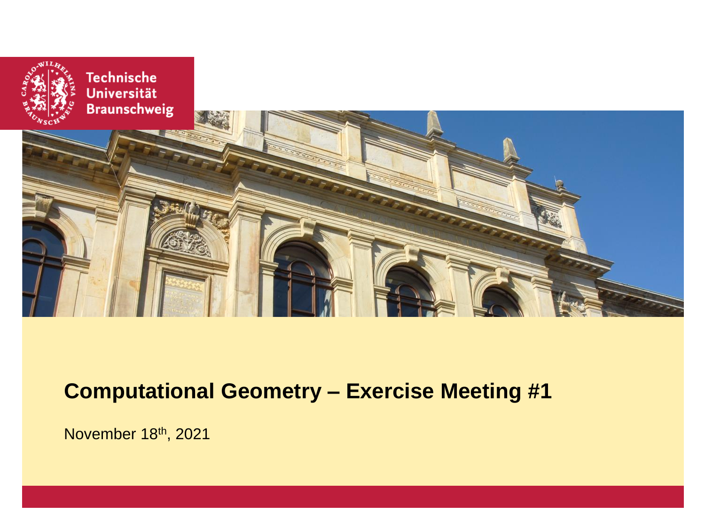

#### **Computational Geometry – Exercise Meeting #1**

November 18th, 2021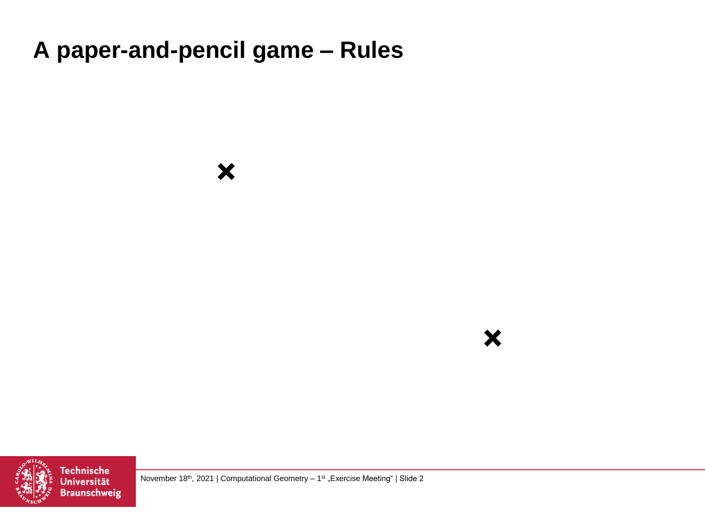X



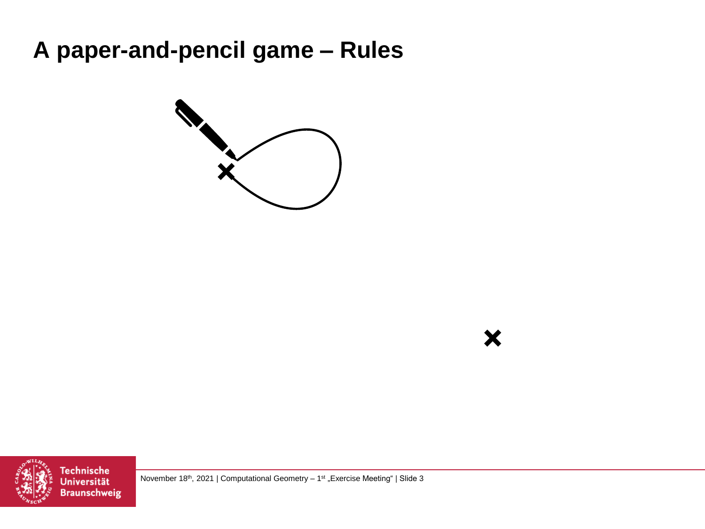



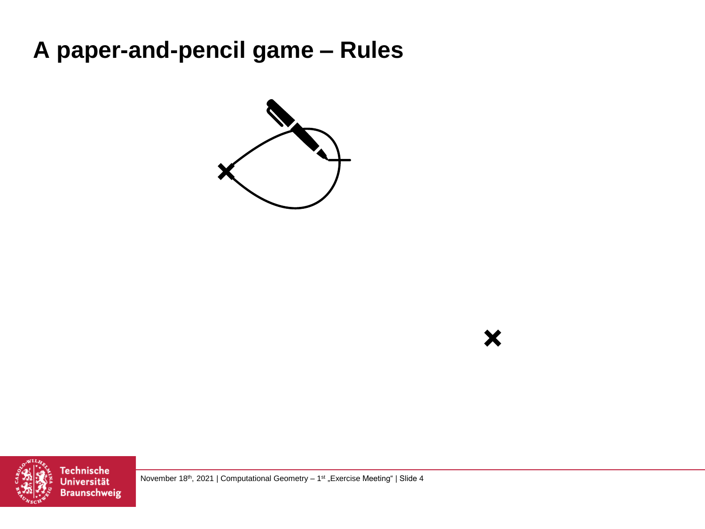

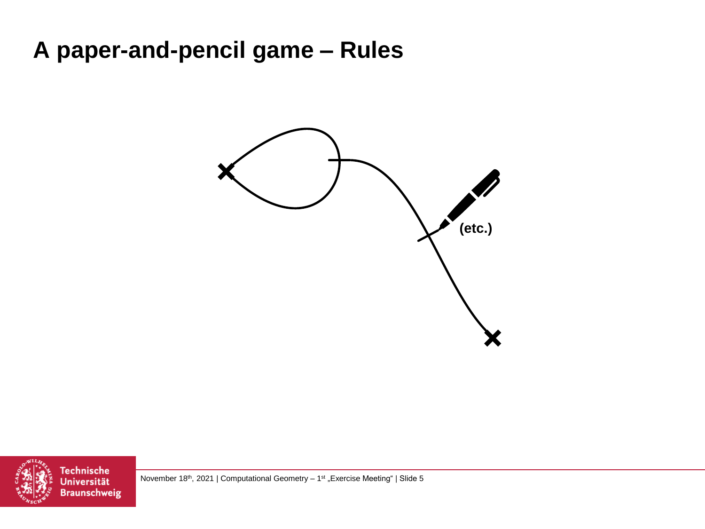

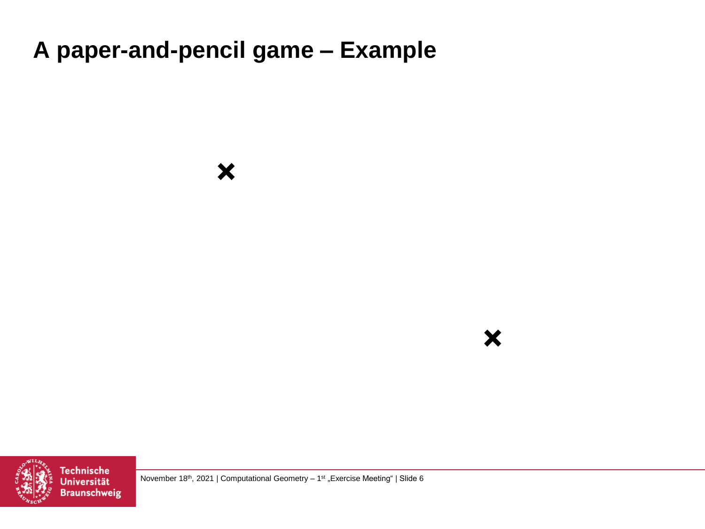X

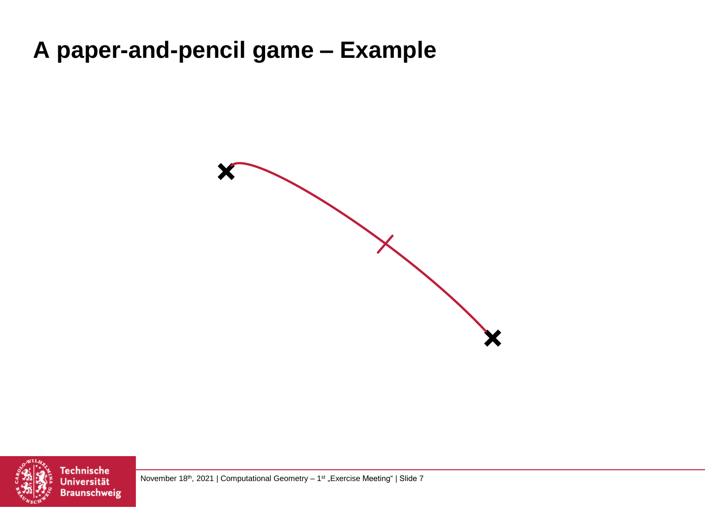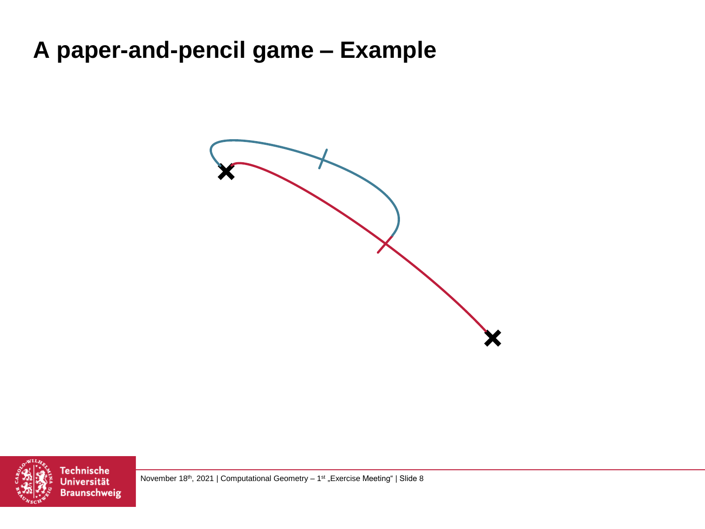

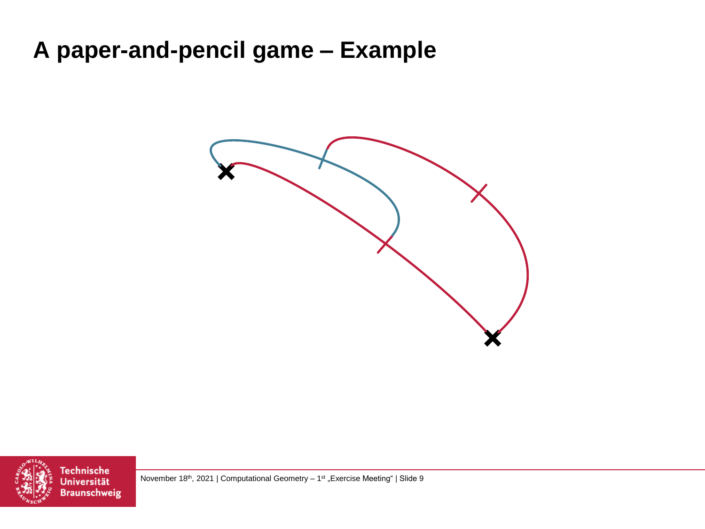

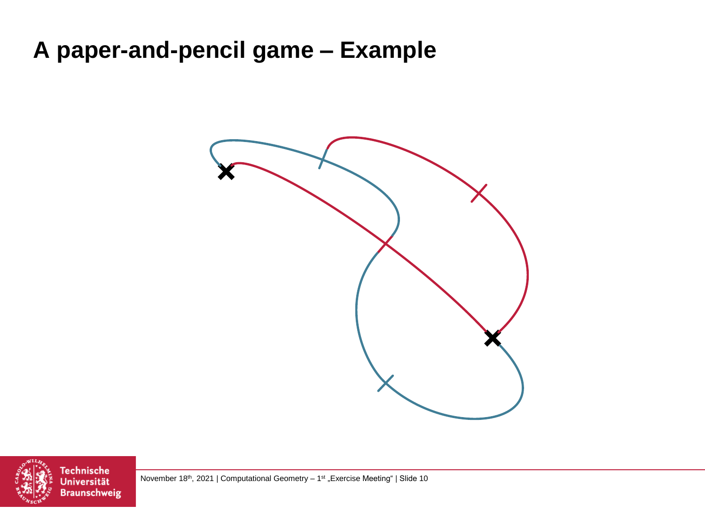

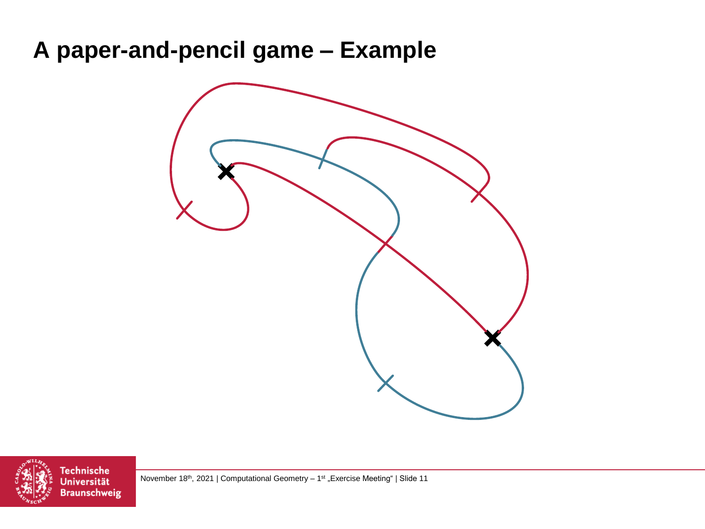

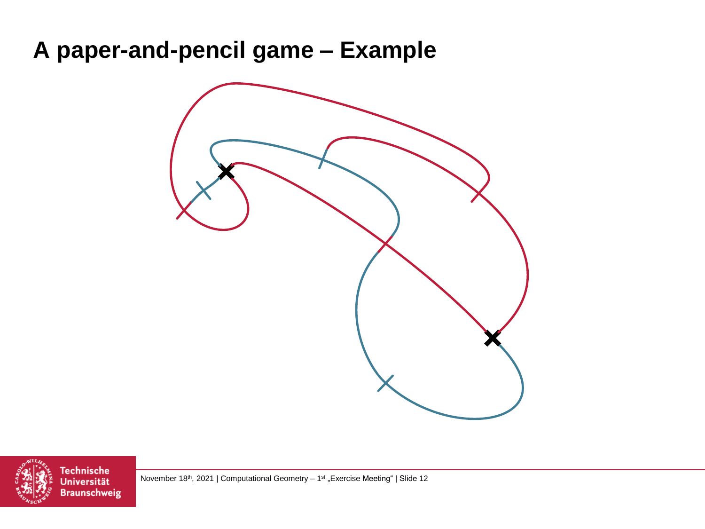

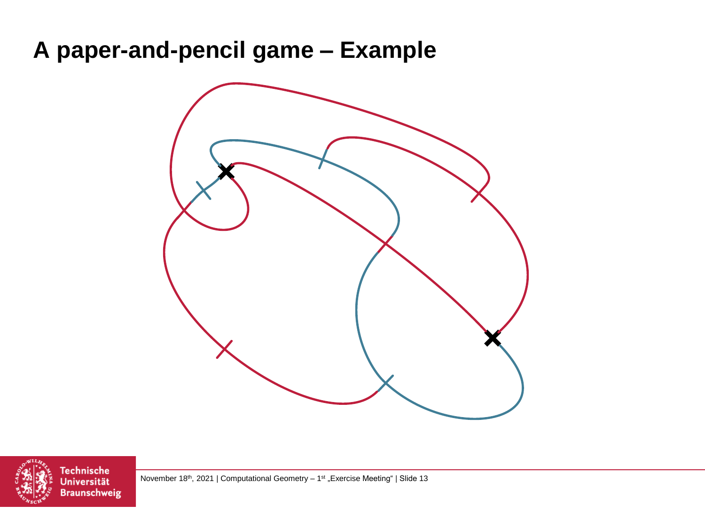

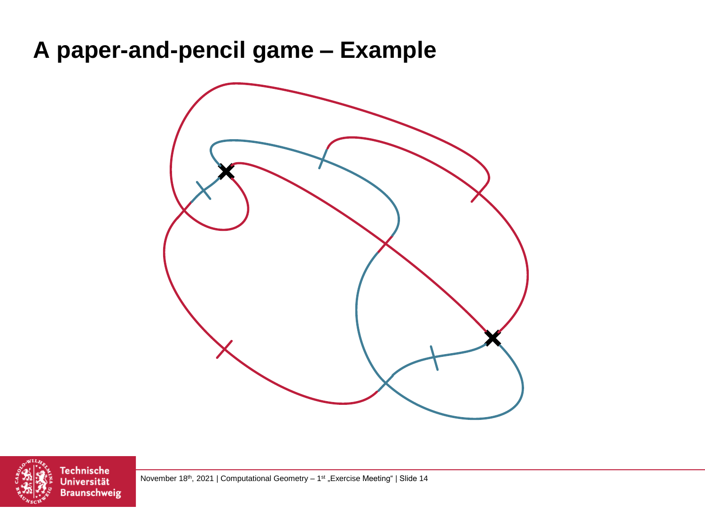

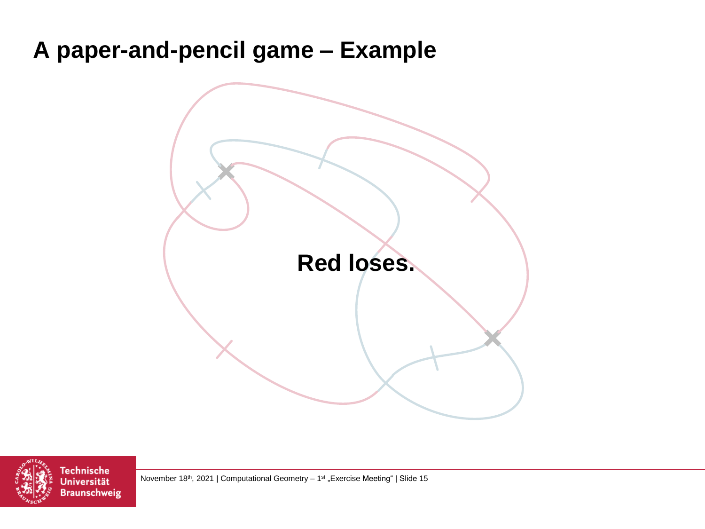

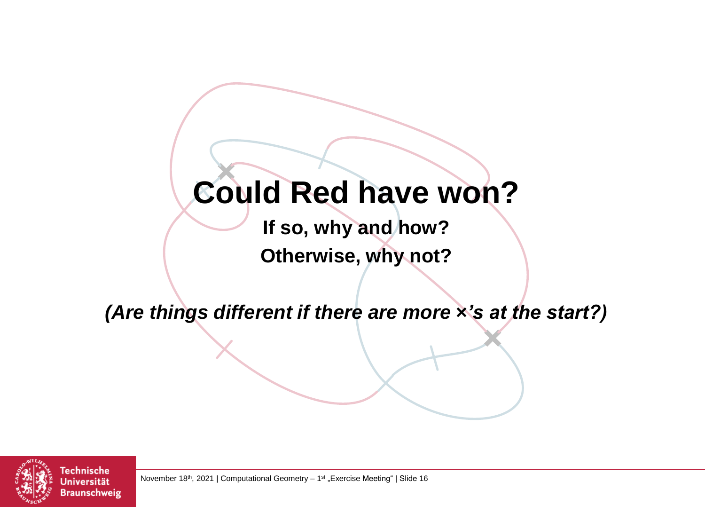# **Could Red have won?**

**If so, why and how? Otherwise, why not?**

*(Are things different if there are more ×'s at the start?)*

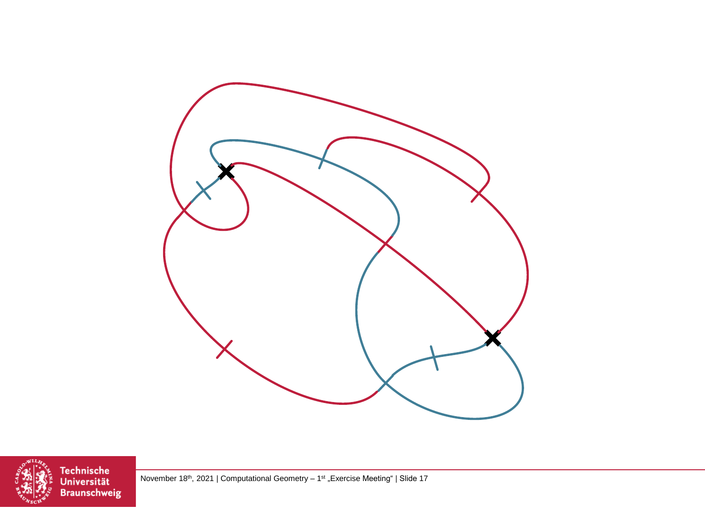

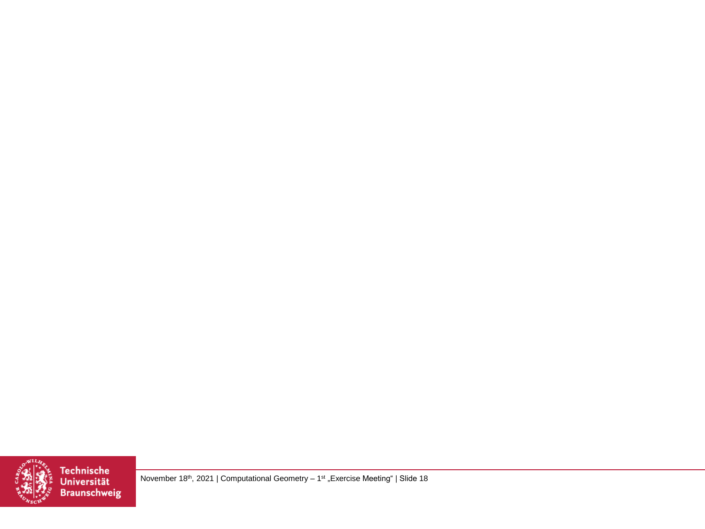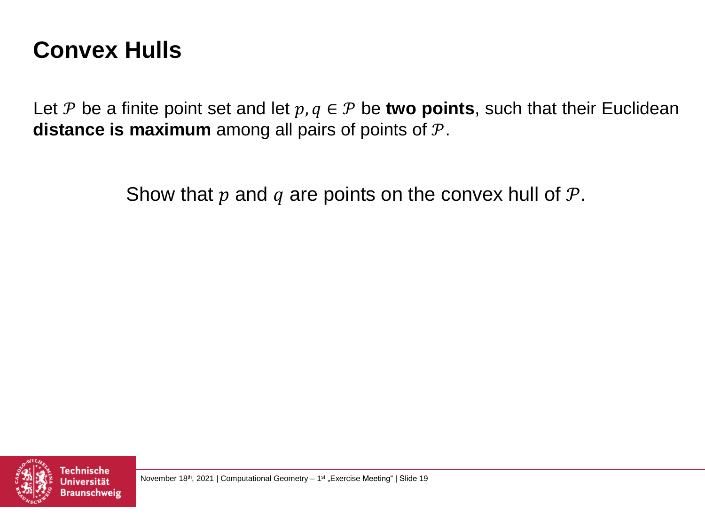## **Convex Hulls**

Let P be a finite point set and let  $p, q \in \mathcal{P}$  be **two points**, such that their Euclidean **distance is maximum** among all pairs of points of  $P$ .

Show that  $p$  and  $q$  are points on the convex hull of  $P$ .

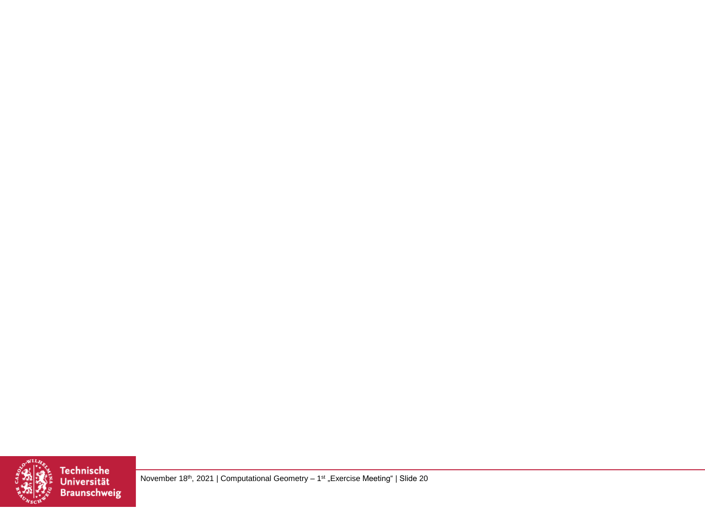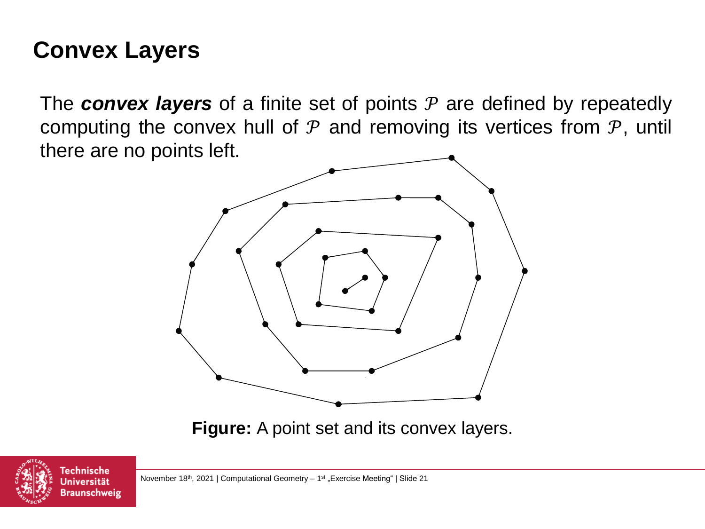## **Convex Layers**

The **convex layers** of a finite set of points  $P$  are defined by repeatedly computing the convex hull of  $P$  and removing its vertices from  $P$ , until there are no points left.



**Figure:** A point set and its convex layers.

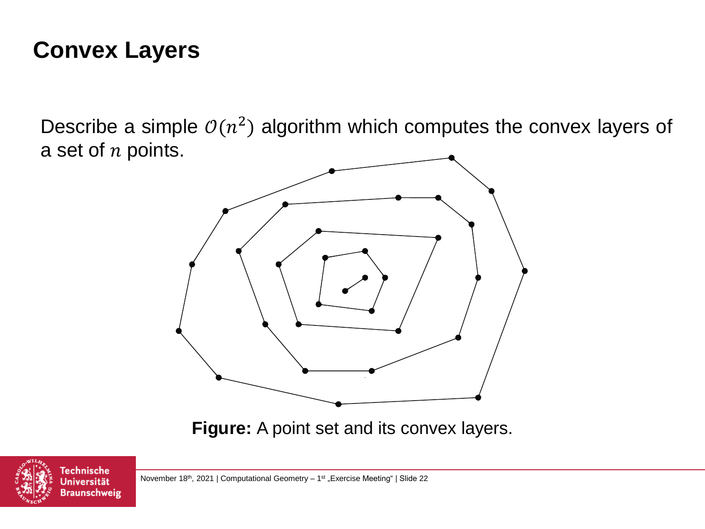## **Convex Layers**

Describe a simple  $O(n^2)$  algorithm which computes the convex layers of a set of  $n$  points.



**Figure:** A point set and its convex layers.